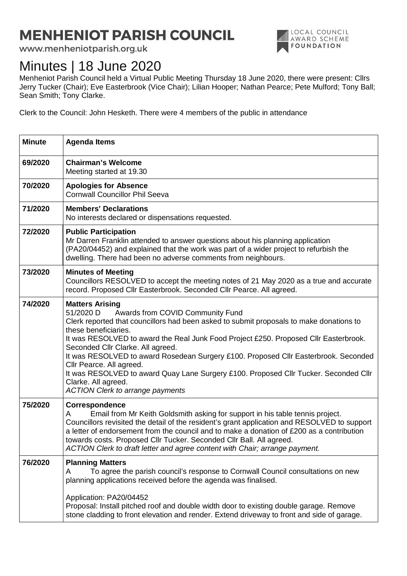## **MENHENIOT PARISH COUNCIL**

www.menheniotparish.org.uk

## Minutes | 18 June 2020

LOCAL COUNCIL **NE AWARD SCHEME** 

Menheniot Parish Council held a Virtual Public Meeting Thursday 18 June 2020, there were present: Cllrs Jerry Tucker (Chair); Eve Easterbrook (Vice Chair); Lilian Hooper; Nathan Pearce; Pete Mulford; Tony Ball; Sean Smith; Tony Clarke.

Clerk to the Council: John Hesketh. There were 4 members of the public in attendance

| <b>Minute</b> | <b>Agenda Items</b>                                                                                                                                                                                                                                                                                                                                                                                                                                                                                                                                                                                  |
|---------------|------------------------------------------------------------------------------------------------------------------------------------------------------------------------------------------------------------------------------------------------------------------------------------------------------------------------------------------------------------------------------------------------------------------------------------------------------------------------------------------------------------------------------------------------------------------------------------------------------|
| 69/2020       | <b>Chairman's Welcome</b><br>Meeting started at 19.30                                                                                                                                                                                                                                                                                                                                                                                                                                                                                                                                                |
| 70/2020       | <b>Apologies for Absence</b><br><b>Cornwall Councillor Phil Seeva</b>                                                                                                                                                                                                                                                                                                                                                                                                                                                                                                                                |
| 71/2020       | <b>Members' Declarations</b><br>No interests declared or dispensations requested.                                                                                                                                                                                                                                                                                                                                                                                                                                                                                                                    |
| 72/2020       | <b>Public Participation</b><br>Mr Darren Franklin attended to answer questions about his planning application<br>(PA20/04452) and explained that the work was part of a wider project to refurbish the<br>dwelling. There had been no adverse comments from neighbours.                                                                                                                                                                                                                                                                                                                              |
| 73/2020       | <b>Minutes of Meeting</b><br>Councillors RESOLVED to accept the meeting notes of 21 May 2020 as a true and accurate<br>record. Proposed Cllr Easterbrook. Seconded Cllr Pearce. All agreed.                                                                                                                                                                                                                                                                                                                                                                                                          |
| 74/2020       | <b>Matters Arising</b><br>51/2020 D<br>Awards from COVID Community Fund<br>Clerk reported that councillors had been asked to submit proposals to make donations to<br>these beneficiaries.<br>It was RESOLVED to award the Real Junk Food Project £250. Proposed Cllr Easterbrook.<br>Seconded Cllr Clarke. All agreed.<br>It was RESOLVED to award Rosedean Surgery £100. Proposed Cllr Easterbrook. Seconded<br>Cllr Pearce. All agreed.<br>It was RESOLVED to award Quay Lane Surgery £100. Proposed Cllr Tucker. Seconded Cllr<br>Clarke. All agreed.<br><b>ACTION Clerk to arrange payments</b> |
| 75/2020       | Correspondence<br>Email from Mr Keith Goldsmith asking for support in his table tennis project.<br>A<br>Councillors revisited the detail of the resident's grant application and RESOLVED to support<br>a letter of endorsement from the council and to make a donation of £200 as a contribution<br>towards costs. Proposed Cllr Tucker. Seconded Cllr Ball. All agreed.<br>ACTION Clerk to draft letter and agree content with Chair; arrange payment.                                                                                                                                             |
| 76/2020       | <b>Planning Matters</b><br>To agree the parish council's response to Cornwall Council consultations on new<br>A<br>planning applications received before the agenda was finalised.                                                                                                                                                                                                                                                                                                                                                                                                                   |
|               | Application: PA20/04452<br>Proposal: Install pitched roof and double width door to existing double garage. Remove<br>stone cladding to front elevation and render. Extend driveway to front and side of garage.                                                                                                                                                                                                                                                                                                                                                                                      |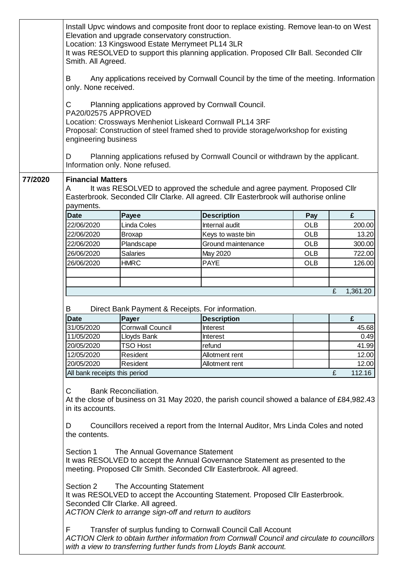|         | Install Upvc windows and composite front door to replace existing. Remove lean-to on West<br>Elevation and upgrade conservatory construction.<br>Location: 13 Kingswood Estate Merrymeet PL14 3LR<br>It was RESOLVED to support this planning application. Proposed Cllr Ball. Seconded Cllr<br>Smith. All Agreed. |                                 |                                                                                                                                                                                                                                      |            |             |  |  |
|---------|--------------------------------------------------------------------------------------------------------------------------------------------------------------------------------------------------------------------------------------------------------------------------------------------------------------------|---------------------------------|--------------------------------------------------------------------------------------------------------------------------------------------------------------------------------------------------------------------------------------|------------|-------------|--|--|
|         | Any applications received by Cornwall Council by the time of the meeting. Information<br>B<br>only. None received.                                                                                                                                                                                                 |                                 |                                                                                                                                                                                                                                      |            |             |  |  |
|         | C<br>PA20/02575 APPROVED<br>engineering business                                                                                                                                                                                                                                                                   |                                 | Planning applications approved by Cornwall Council.<br>Location: Crossways Menheniot Liskeard Cornwall PL14 3RF<br>Proposal: Construction of steel framed shed to provide storage/workshop for existing                              |            |             |  |  |
|         | D                                                                                                                                                                                                                                                                                                                  | Information only. None refused. | Planning applications refused by Cornwall Council or withdrawn by the applicant.                                                                                                                                                     |            |             |  |  |
| 77/2020 | <b>Financial Matters</b><br>It was RESOLVED to approved the schedule and agree payment. Proposed Cllr<br>A<br>Easterbrook. Seconded Cllr Clarke. All agreed. Cllr Easterbrook will authorise online<br>payments.                                                                                                   |                                 |                                                                                                                                                                                                                                      |            |             |  |  |
|         | <b>Date</b>                                                                                                                                                                                                                                                                                                        | Payee                           | <b>Description</b>                                                                                                                                                                                                                   | Pay        | £           |  |  |
|         | 22/06/2020                                                                                                                                                                                                                                                                                                         | Linda Coles                     | Internal audit                                                                                                                                                                                                                       | <b>OLB</b> | 200.00      |  |  |
|         | 22/06/2020                                                                                                                                                                                                                                                                                                         | <b>Broxap</b>                   | Keys to waste bin                                                                                                                                                                                                                    | <b>OLB</b> | 13.20       |  |  |
|         | 22/06/2020                                                                                                                                                                                                                                                                                                         | Plandscape                      | Ground maintenance                                                                                                                                                                                                                   | <b>OLB</b> | 300.00      |  |  |
|         | 26/06/2020                                                                                                                                                                                                                                                                                                         | <b>Salaries</b>                 | May 2020                                                                                                                                                                                                                             | <b>OLB</b> | 722.00      |  |  |
|         | 26/06/2020                                                                                                                                                                                                                                                                                                         | <b>HMRC</b>                     | <b>PAYE</b>                                                                                                                                                                                                                          | <b>OLB</b> | 126.00      |  |  |
|         |                                                                                                                                                                                                                                                                                                                    |                                 |                                                                                                                                                                                                                                      |            |             |  |  |
|         |                                                                                                                                                                                                                                                                                                                    |                                 |                                                                                                                                                                                                                                      |            |             |  |  |
|         |                                                                                                                                                                                                                                                                                                                    |                                 |                                                                                                                                                                                                                                      |            |             |  |  |
|         | 1,361.20<br>£                                                                                                                                                                                                                                                                                                      |                                 |                                                                                                                                                                                                                                      |            |             |  |  |
|         | Direct Bank Payment & Receipts. For information.<br>B                                                                                                                                                                                                                                                              |                                 |                                                                                                                                                                                                                                      |            |             |  |  |
|         | <b>Date</b>                                                                                                                                                                                                                                                                                                        | Payer                           | <b>Description</b>                                                                                                                                                                                                                   |            | £           |  |  |
|         | 31/05/2020                                                                                                                                                                                                                                                                                                         | <b>Cornwall Council</b>         | Interest                                                                                                                                                                                                                             |            | 45.68       |  |  |
|         | 11/05/2020                                                                                                                                                                                                                                                                                                         | Lloyds Bank                     | <b>Interest</b>                                                                                                                                                                                                                      |            | 0.49        |  |  |
|         | 20/05/2020                                                                                                                                                                                                                                                                                                         | <b>TSO Host</b>                 | refund                                                                                                                                                                                                                               |            | 41.99       |  |  |
|         | 12/05/2020                                                                                                                                                                                                                                                                                                         | Resident                        | Allotment rent                                                                                                                                                                                                                       |            | 12.00       |  |  |
|         | 20/05/2020                                                                                                                                                                                                                                                                                                         | Resident                        | Allotment rent                                                                                                                                                                                                                       |            | 12.00       |  |  |
|         | All bank receipts this period                                                                                                                                                                                                                                                                                      |                                 |                                                                                                                                                                                                                                      |            | £<br>112.16 |  |  |
|         | <b>Bank Reconciliation.</b><br>C<br>At the close of business on 31 May 2020, the parish council showed a balance of £84,982.43<br>in its accounts.                                                                                                                                                                 |                                 |                                                                                                                                                                                                                                      |            |             |  |  |
|         | Councillors received a report from the Internal Auditor, Mrs Linda Coles and noted<br>D<br>the contents.                                                                                                                                                                                                           |                                 |                                                                                                                                                                                                                                      |            |             |  |  |
|         | The Annual Governance Statement<br>Section 1<br>It was RESOLVED to accept the Annual Governance Statement as presented to the<br>meeting. Proposed Cllr Smith. Seconded Cllr Easterbrook. All agreed.                                                                                                              |                                 |                                                                                                                                                                                                                                      |            |             |  |  |
|         | Section 2<br>The Accounting Statement<br>It was RESOLVED to accept the Accounting Statement. Proposed Cllr Easterbrook.<br>Seconded Cllr Clarke. All agreed.<br>ACTION Clerk to arrange sign-off and return to auditors                                                                                            |                                 |                                                                                                                                                                                                                                      |            |             |  |  |
|         | F                                                                                                                                                                                                                                                                                                                  |                                 | Transfer of surplus funding to Cornwall Council Call Account<br>ACTION Clerk to obtain further information from Cornwall Council and circulate to councillors<br>with a view to transferring further funds from Lloyds Bank account. |            |             |  |  |